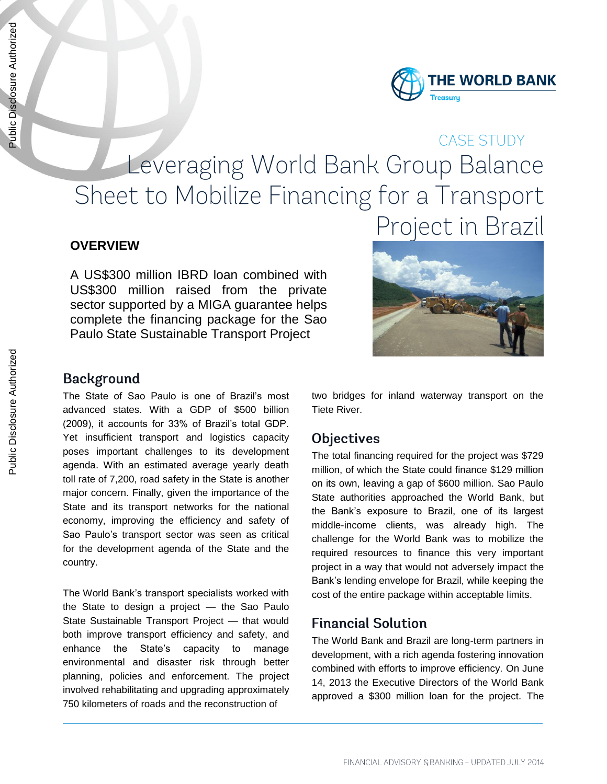

# CASE STUDY Leveraging World Bank Group Balance Sheet to Mobilize Financing for a Transport Project in Brazil

#### **OVERVIEW**

A US\$300 million IBRD loan combined with US\$300 million raised from the private sector supported by a MIGA guarantee helps complete the financing package for the Sao Paulo State Sustainable Transport Project



#### **Background**

The State of Sao Paulo is one of Brazil's most advanced states. With a GDP of \$500 billion (2009), it accounts for 33% of Brazil's total GDP. Yet insufficient transport and logistics capacity poses important challenges to its development agenda. With an estimated average yearly death toll rate of 7,200, road safety in the State is another major concern. Finally, given the importance of the State and its transport networks for the national economy, improving the efficiency and safety of Sao Paulo's transport sector was seen as critical for the development agenda of the State and the country.

The World Bank's transport specialists worked with the State to design a project — the Sao Paulo State Sustainable Transport Project — that would both improve transport efficiency and safety, and enhance the State's capacity to manage environmental and disaster risk through better planning, policies and enforcement. The project involved rehabilitating and upgrading approximately 750 kilometers of roads and the reconstruction of

two bridges for inland waterway transport on the Tiete River.

### **Objectives**

The total financing required for the project was \$729 million, of which the State could finance \$129 million on its own, leaving a gap of \$600 million. Sao Paulo State authorities approached the World Bank, but the Bank's exposure to Brazil, one of its largest middle-income clients, was already high. The challenge for the World Bank was to mobilize the required resources to finance this very important project in a way that would not adversely impact the Bank's lending envelope for Brazil, while keeping the cost of the entire package within acceptable limits.

### **Financial Solution**

The World Bank and Brazil are long-term partners in development, with a rich agenda fostering innovation combined with efforts to improve efficiency. On June 14, 2013 the Executive Directors of the World Bank approved a \$300 million loan for the project. The